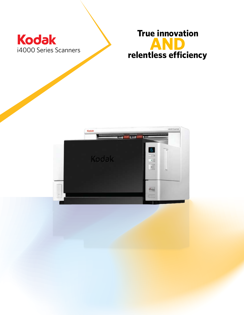

# **True innovation relentless efficiency AND**

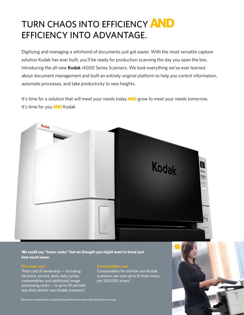# TURN CHAOS INTO EFFICIENCY AND efficiency into advantage.

Digitizing and managing a whirlwind of documents just got easier. With the most versatile capture solution Kodak has ever built, you'll be ready for production scanning the day you open the box. Introducing the all-new **Kodak** i4000 Series Scanners. We took everything we've ever learned about document management and built an entirely original platform to help you control information, automate processes, and take productivity to new heights.

It's time for a solution that will meet your needs today **AND** grow to meet your needs tomorrow. It's time for you **AND** Kodak



**We could say "lower costs," but we thought you might want to know just how much lower.**

Total cost of ownership — including list price, service, daily duty cycles, consumables, and additional image processing costs — is up to 59 percent less than similar non-Kodak scanners.\*

Consumables for similiar non-Kodak scanners can cost up to 8 times more, per 500,000 scans.\*



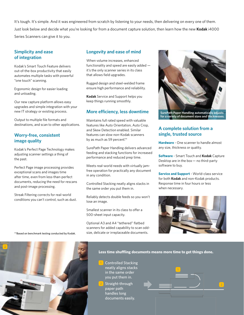It's tough. It's simple. And it was engineered from scratch by listening to your needs, then delivering on every one of them. Just look below and decide what you're looking for from a document capture solution, then learn how the new **Kodak** i4000 Series Scanners can give it to you.

#### **Simplicity and ease of integration**

Kodak's Smart Touch Feature delivers out-of-the-box productivity that easily automates multiple tasks with powerful "one touch" scanning.

Ergonomic design for easier loading and unloading.

Our new capture platform allows easy upgrades and simple integration with your new IT strategy or existing process.

Output to multiple file formats and destinations, and scan to other applications.

### **Worry-free, consistent image quality**

Kodak's Perfect Page Technology makes adjusting scanner settings a thing of the past.

Perfect Page image processing provides exceptional scans and images time after time, even from less-than-perfect documents, reducing the need for rescans and post-image processing.

Streak Filtering corrects for real-world conditions you can't control, such as dust.

## **Longevity and ease of mind**

When volume increases, enhanced functionality and speed are easily added it's the only scanner series in its class that allows field upgrades.

Rugged design and steel-welded frame ensure high performance and reliability.

**Kodak** Service and Support helps you keep things running smoothly.

## **More efficiency, less downtime**

Maintains full rated speed with valuable features like Auto Orientation, Auto Crop, and Skew Detection enabled. Similar features can slow non-Kodak scanners by as much as 59 percent.\*\*

SurePath Paper Handling delivers advanced feeding and stacking functions for increased performance and reduced prep time.

Meets real-world needs with virtually jamfree operation for practically any document in any condition.

Controlled Stacking neatly aligns stacks in the same order you put them in.

Reliably detects double feeds so you won't lose an image.

Smallest scanner in its class to offer a 500-sheet input capacity.

Optional A3 and A4 "tethered" flatbed scanners for added capability to scan oddsize, delicate or irreplaceable documents.



**SurePath Paper Handling automatically adjusts for a variety of document sizes and thicknesses.**

# **A complete solution from a single, trusted source**

**Hardware** - One scanner to handle almost any size, thickness or quality.

**Software** - Smart Touch and **Kodak** Capture Desktop are in the box— no third-party software to buy.

**Service and Support** - World-class service for both **Kodak** and non-Kodak products. Response time in four hours or less when necessary.



\*\*Based on benchmark testing conducted by Kodak.



#### **Less time shuffling documents means more time to get things done.**

- **1** Controlled Stacking neatly aligns stacks in the same order you put them in.
- Straight-through paper path handles long documents easily.